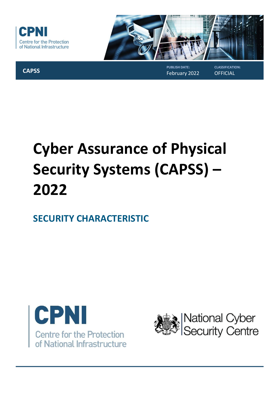



**CAPSS**

#### **PUBLISH DATE:** February 2022

**CLASSIFICATION: OFFICIAL** 

# **Cyber Assurance of Physical Security Systems (CAPSS) – 2022**

## **SECURITY CHARACTERISTIC**



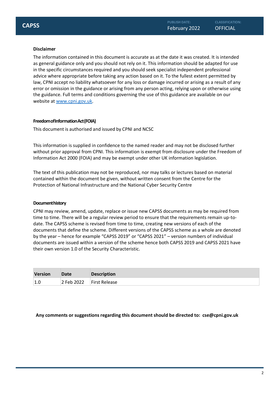#### **Disclaimer**

The information contained in this document is accurate as at the date it was created. It is intended as general guidance only and you should not rely on it. This information should be adapted for use in the specific circumstances required and you should seek specialist independent professional advice where appropriate before taking any action based on it. To the fullest extent permitted by law, CPNI accept no liability whatsoever for any loss or damage incurred or arising as a result of any error or omission in the guidance or arising from any person acting, relying upon or otherwise using the guidance. Full terms and conditions governing the use of this guidance are available on our website at [www.cpni.gov.uk.](http://www.cpni.gov.uk/)

#### **FreedomofInformationAct(FOIA)**

This document is authorised and issued by CPNI and NCSC

This information is supplied in confidence to the named reader and may not be disclosed further without prior approval from CPNI. This information is exempt from disclosure under the Freedom of Information Act 2000 (FOIA) and may be exempt under other UK information legislation.

The text of this publication may not be reproduced, nor may talks or lectures based on material contained within the document be given, without written consent from the Centre for the Protection of National Infrastructure and the National Cyber Security Centre

#### **Documenthistory**

CPNI may review, amend, update, replace or issue new CAPSS documents as may be required from time to time. There will be a regular review period to ensure that the requirements remain up-todate. The CAPSS scheme is revised from time to time, creating new versions of each of the documents that define the scheme. Different versions of the CAPSS scheme as a whole are denoted by the year – hence for example "CAPSS 2019" or "CAPSS 2021" – version numbers of individual documents are issued within a version of the scheme hence both CAPSS 2019 and CAPSS 2021 have their own version 1.0 of the Security Characteristic.

| <b>Version</b> | Date       | <b>Description</b>   |
|----------------|------------|----------------------|
| 1.0            | 2 Feb 2022 | <b>First Release</b> |

**Any comments or suggestions regarding this document should be directed to: [cse@cpni.gov.uk](mailto:cse@cpni.gov.uk)**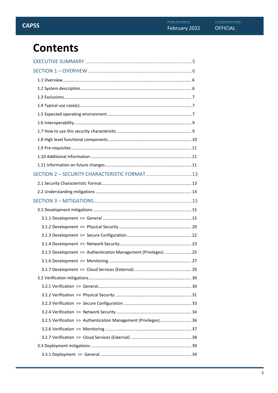## **Contents**

| SECTION 2 - SECURITY CHARACTERISTIC FORMAT 13                   |  |
|-----------------------------------------------------------------|--|
|                                                                 |  |
|                                                                 |  |
|                                                                 |  |
|                                                                 |  |
|                                                                 |  |
|                                                                 |  |
|                                                                 |  |
|                                                                 |  |
| 3.1.5 Development >> Authentication Management (Privileges)  25 |  |
|                                                                 |  |
|                                                                 |  |
|                                                                 |  |
|                                                                 |  |
|                                                                 |  |
|                                                                 |  |
|                                                                 |  |
| 3.2.5 Verification >> Authentication Management (Privileges) 36 |  |
|                                                                 |  |
|                                                                 |  |
|                                                                 |  |
|                                                                 |  |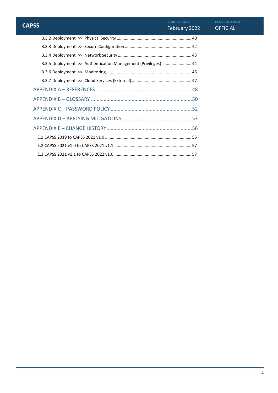| <b>CAPSS</b>                                                   | <b>PUBLISH DATE:</b><br>February 2022 | CLASSIFICATION:<br><b>OFFICIAL</b> |
|----------------------------------------------------------------|---------------------------------------|------------------------------------|
|                                                                |                                       |                                    |
|                                                                |                                       |                                    |
|                                                                |                                       |                                    |
| 3.3.5 Deployment >> Authentication Management (Privileges)  44 |                                       |                                    |
|                                                                |                                       |                                    |
|                                                                |                                       |                                    |
|                                                                |                                       |                                    |
|                                                                |                                       |                                    |
|                                                                |                                       |                                    |
|                                                                |                                       |                                    |
|                                                                |                                       |                                    |
|                                                                |                                       |                                    |
|                                                                |                                       |                                    |
|                                                                |                                       |                                    |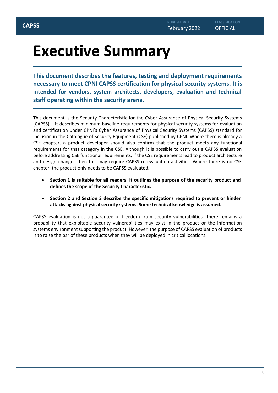## <span id="page-4-0"></span>**Executive Summary**

**This document describes the features, testing and deployment requirements necessary to meet CPNI CAPSS certification for physical security systems. It is intended for vendors, system architects, developers, evaluation and technical staff operating within the security arena.**

This document is the Security Characteristic for the Cyber Assurance of Physical Security Systems (CAPSS) – it describes minimum baseline requirements for physical security systems for evaluation and certification under CPNI's Cyber Assurance of Physical Security Systems (CAPSS) standard for inclusion in the Catalogue of Security Equipment (CSE) published by CPNI. Where there is already a CSE chapter, a product developer should also confirm that the product meets any functional requirements for that category in the CSE. Although it is possible to carry out a CAPSS evaluation before addressing CSE functional requirements, if the CSE requirements lead to product architecture and design changes then this may require CAPSS re-evaluation activities. Where there is no CSE chapter, the product only needs to be CAPSS evaluated.

- **Section 1 is suitable for all readers. It outlines the purpose of the security product and defines the scope of the Security Characteristic.**
- **Section 2 and Section 3 describe the specific mitigations required to prevent or hinder attacks against physical security systems. Some technical knowledge is assumed.**

CAPSS evaluation is not a guarantee of freedom from security vulnerabilities. There remains a probability that exploitable security vulnerabilities may exist in the product or the information systems environment supporting the product. However, the purpose of CAPSS evaluation of products is to raise the bar of these products when they will be deployed in critical locations.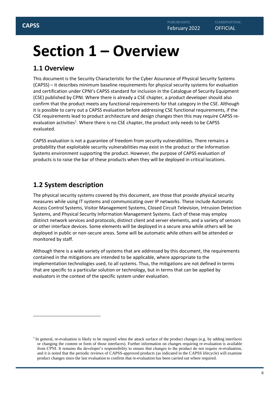## <span id="page-5-0"></span>**Section 1 – Overview**

## <span id="page-5-1"></span>**1.1 Overview**

This document is the Security Characteristic for the Cyber Assurance of Physical Security Systems (CAPSS) – it describes minimum baseline requirements for physical security systems for evaluation and certification under CPNI's CAPSS standard for inclusion in the Catalogue of Security Equipment (CSE) published by CPNI. Where there is already a CSE chapter, a product developer should also confirm that the product meets any functional requirements for that category in the CSE. Although it is possible to carry out a CAPSS evaluation before addressing CSE functional requirements, if the CSE requirements lead to product architecture and design changes then this may require CAPSS reevaluation activities<sup>1</sup>. Where there is no CSE chapter, the product only needs to be CAPSS evaluated.

CAPSS evaluation is not a guarantee of freedom from security vulnerabilities. There remains a probability that exploitable security vulnerabilities may exist in the product or the Information Systems environment supporting the product. However, the purpose of CAPSS evaluation of products is to raise the bar of these products when they will be deployed in critical locations.

## <span id="page-5-2"></span>**1.2 System description**

The physical security systems covered by this document, are those that provide physical security measures while using IT systems and communicating over IP networks. These include Automatic Access Control Systems, Visitor Management Systems, Closed Circuit Television, Intrusion Detection Systems, and Physical Security Information Management Systems. Each of these may employ distinct network services and protocols, distinct client and server elements, and a variety of sensors or other interface devices. Some elements will be deployed in a secure area while others will be deployed in public or non-secure areas. Some will be automatic while others will be attended or monitored by staff.

Although there is a wide variety of systems that are addressed by this document, the requirements contained in the mitigations are intended to be applicable, where appropriate to the implementation technologies used, to all systems. Thus, the mitigations are not defined in terms that are specific to a particular solution or technology, but in terms that can be applied by evaluators in the context of the specific system under evaluation.

<sup>&</sup>lt;sup>1</sup> In general, re-evaluation is likely to be required when the attack surface of the product changes (e.g. by adding interfaces or changing the content or form of those interfaces). Further information on changes requiring re-evaluation is available from CPNI. It remains the developer's responsibility to ensure that changes to the product do not require re-evaluation, and it is noted that the periodic reviews of CAPSS-approved products (as indicated in the CAPSS lifecycle) will examine product changes since the last evaluation to confirm that re-evaluation has been carried out where required.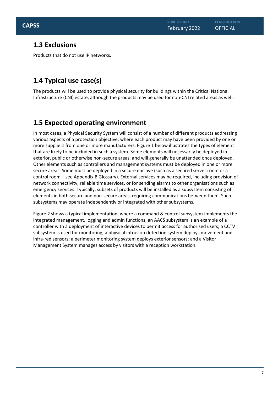## <span id="page-6-0"></span>**1.3 Exclusions**

Products that do not use IP networks.

## <span id="page-6-1"></span>**1.4 Typical use case(s)**

The products will be used to provide physical security for buildings within the Critical National Infrastructure (CNI) estate, although the products may be used for non-CNI related areas as well.

## <span id="page-6-2"></span>**1.5 Expected operating environment**

In most cases, a Physical Security System will consist of a number of different products addressing various aspects of a protection objective, where each product may have been provided by one or more suppliers from one or more manufacturers. Figure 1 below illustrates the types of element that are likely to be included in such a system. Some elements will necessarily be deployed in exterior, public or otherwise non-secure areas, and will generally be unattended once deployed. Other elements such as controllers and management systems must be deployed in one or more secure areas. Some must be deployed in a secure enclave (such as a secured server room or a control room – see Appendix B Glossary). External services may be required, including provision of network connectivity, reliable time services, or for sending alarms to other organisations such as emergency services. Typically, subsets of products will be installed as a subsystem consisting of elements in both secure and non-secure areas, requiring communications between them. Such subsystems may operate independently or integrated with other subsystems.

Figure 2 shows a typical implementation, where a command & control subsystem implements the integrated management, logging and admin functions; an AACS subsystem is an example of a controller with a deployment of interactive devices to permit access for authorised users; a CCTV subsystem is used for monitoring; a physical intrusion detection system deploys movement and infra-red sensors; a perimeter monitoring system deploys exterior sensors; and a Visitor Management System manages access by visitors with a reception workstation.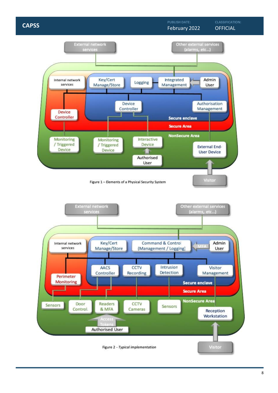#### February 2022 **CAPSS** CONSTRUCTED AND CONSTRUCT CONSTRUCT CONSTRUCT CONSTRUCT CONSTRUCT CONSTRUCT CONSTRUCT CONSTRUCT CONSTRUCT CONSTRUCT CONSTRUCT CONSTRUCT CONSTRUCT CONSTRUCT CONSTRUCT CONSTRUCT CONSTRUCT CONSTRUCT CONSTRUCT CONSTRUC

**CLASSIFICATION:**

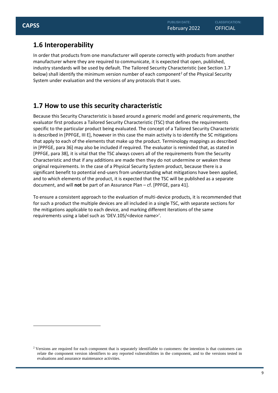## <span id="page-8-0"></span>**1.6 Interoperability**

In order that products from one manufacturer will operate correctly with products from another manufacturer where they are required to communicate, it is expected that open, published, industry standards will be used by default. The Tailored Security Characteristic (see Section 1.7 below) shall identify the minimum version number of each component<sup>2</sup> of the Physical Security System under evaluation and the versions of any protocols that it uses.

## <span id="page-8-1"></span>**1.7 How to use this security characteristic**

Because this Security Characteristic is based around a generic model and generic requirements, the evaluator first produces a Tailored Security Characteristic (TSC) that defines the requirements specific to the particular product being evaluated. The concept of a Tailored Security Characteristic is described in [PPFGE, III E], however in this case the main activity is to identify the SC mitigations that apply to each of the elements that make up the product. Terminology mappings as described in [PPFGE, para 36] may also be included if required. The evaluator is reminded that, as stated in [PPFGE, para 38], it is vital that the TSC always covers all of the requirements from the Security Characteristic and that if any additions are made then they do not undermine or weaken these original requirements. In the case of a Physical Security System product, because there is a significant benefit to potential end-users from understanding what mitigations have been applied, and to which elements of the product, it is expected that the TSC will be published as a separate document, and will **not** be part of an Assurance Plan – cf. [PPFGE, para 41].

To ensure a consistent approach to the evaluation of multi-device products, it is recommended that for such a product the multiple devices are all included in a single TSC, with separate sections for the mitigations applicable to each device, and marking different iterations of the same requirements using a label such as 'DEV.105/<device name>'.

<sup>&</sup>lt;sup>2</sup> Versions are required for each component that is separately identifiable to customers: the intention is that customers can relate the component version identifiers to any reported vulnerabilities in the component, and to the versions tested in evaluations and assurance maintenance activities.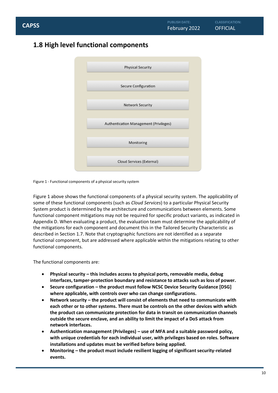## <span id="page-9-0"></span>**1.8 High level functional components**



Figure 1 - Functional components of a physical security system

Figure 1 above shows the functional components of a physical security system. The applicability of some of these functional components (such as *Cloud Services*) to a particular Physical Security System product is determined by the architecture and communications between elements. Some functional component mitigations may not be required for specific product variants, as indicated in Appendix D. When evaluating a product, the evaluation team must determine the applicability of the mitigations for each component and document this in the Tailored Security Characteristic as described in Section 1.7. Note that cryptographic functions are not identified as a separate functional component, but are addressed where applicable within the mitigations relating to other functional components.

The functional components are:

- **Physical security – this includes access to physical ports, removable media, debug interfaces, tamper-protection boundary and resistance to attacks such as loss of power.**
- **Secure configuration – the product must follow NCSC Device Security Guidance [DSG] where applicable, with controls over who can change configurations.**
- **Network security – the product will consist of elements that need to communicate with each other or to other systems. There must be controls on the other devices with which the product can communicate protection for data in transit on communication channels outside the secure enclave, and an ability to limit the impact of a DoS attack from network interfaces.**
- **Authentication management (Privileges) – use of MFA and a suitable password policy, with unique credentials for each individual user, with privileges based on roles. Software installations and updates must be verified before being applied.**
- **Monitoring – the product must include resilient logging of significant security-related events.**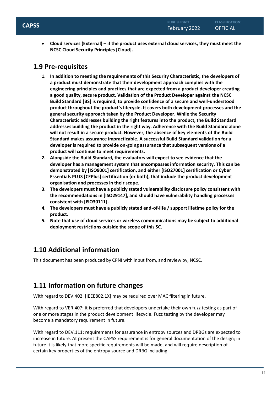• **Cloud services (External) – if the product uses external cloud services, they must meet the NCSC Cloud Security Principles [Cloud].**

## <span id="page-10-0"></span>**1.9 Pre-requisites**

- **1. In addition to meeting the requirements of this Security Characteristic, the developers of a product must demonstrate that their development approach complies with the engineering principles and practices that are expected from a product developer creating a good quality, secure product. Validation of the Product Developer against the NCSC Build Standard [BS] is required, to provide confidence of a secure and well-understood product throughout the product's lifecycle. It covers both development processes and the general security approach taken by the Product Developer. While the Security Characteristic addresses building the right features into the product, the Build Standard addresses building the product in the right way. Adherence with the Build Standard alone will not result in a secure product. However, the absence of key elements of the Build Standard makes assurance impracticable. A successful Build Standard validation for a developer is required to provide on-going assurance that subsequent versions of a product will continue to meet requirements.**
- **2. Alongside the Build Standard, the evaluators will expect to see evidence that the developer has a management system that encompasses information security. This can be demonstrated by [ISO9001] certification, and either [ISO27001] certification or Cyber Essentials PLUS [CEPlus] certification (or both), that include the product development organisation and processes in their scope.**
- **3. The developers must have a publicly stated vulnerability disclosure policy consistent with the recommendations in [ISO29147], and should have vulnerability handling processes consistent with [ISO30111].**
- **4. The developers must have a publicly stated end-of-life / support lifetime policy for the product.**
- **5. Note that use of cloud services or wireless communications may be subject to additional deployment restrictions outside the scope of this SC.**

## <span id="page-10-1"></span>**1.10 Additional information**

This document has been produced by CPNI with input from, and review by, NCSC.

## <span id="page-10-2"></span>**1.11 Information on future changes**

With regard to DEV.402: [IEEE802.1X] may be required over MAC filtering in future.

With regard to VER.407: it is preferred that developers undertake their own fuzz testing as part of one or more stages in the product development lifecycle. Fuzz testing by the developer may become a mandatory requirement in future.

With regard to DEV.111: requirements for assurance in entropy sources and DRBGs are expected to increase in future. At present the CAPSS requirement is for general documentation of the design; in future it is likely that more specific requirements will be made, and will require description of certain key properties of the entropy source and DRBG including: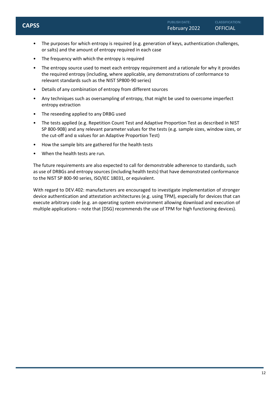- The purposes for which entropy is required (e.g. generation of keys, authentication challenges, or salts) and the amount of entropy required in each case
- The frequency with which the entropy is required
- The entropy source used to meet each entropy requirement and a rationale for why it provides the required entropy (including, where applicable, any demonstrations of conformance to relevant standards such as the NIST SP800-90 series)
- Details of any combination of entropy from different sources
- Any techniques such as oversampling of entropy, that might be used to overcome imperfect entropy extraction
- The reseeding applied to any DRBG used
- The tests applied (e.g. Repetition Count Test and Adaptive Proportion Test as described in NIST SP 800-90B) and any relevant parameter values for the tests (e.g. sample sizes, window sizes, or the cut-off and α values for an Adaptive Proportion Test)
- How the sample bits are gathered for the health tests
- When the health tests are run.

The future requirements are also expected to call for demonstrable adherence to standards, such as use of DRBGs and entropy sources (including health tests) that have demonstrated conformance to the NIST SP 800-90 series, ISO/IEC 18031, or equivalent.

With regard to DEV.402: manufacturers are encouraged to investigate implementation of stronger device authentication and attestation architectures (e.g. using TPM), especially for devices that can execute arbitrary code (e.g. an operating system environment allowing download and execution of multiple applications – note that [DSG} recommends the use of TPM for high functioning devices).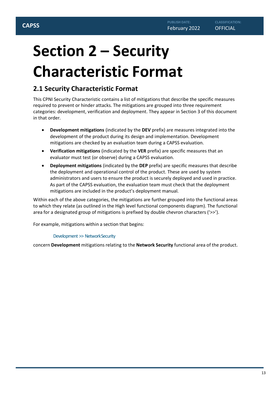# <span id="page-12-0"></span>**Section 2 – Security Characteristic Format**

## <span id="page-12-1"></span>**2.1 Security Characteristic Format**

This CPNI Security Characteristic contains a list of mitigations that describe the specific measures required to prevent or hinder attacks. The mitigations are grouped into three requirement categories: development, verification and deployment. They appear in Section 3 of this document in that order.

- **Development mitigations** (indicated by the **DEV** prefix) are measures integrated into the development of the product during its design and implementation. Development mitigations are checked by an evaluation team during a CAPSS evaluation.
- **Verification mitigations** (indicated by the **VER** prefix) are specific measures that an evaluator must test (or observe) during a CAPSS evaluation.
- **Deployment mitigations** (indicated by the **DEP** prefix) are specific measures that describe the deployment and operational control of the product. These are used by system administrators and users to ensure the product is securely deployed and used in practice. As part of the CAPSS evaluation, the evaluation team must check that the deployment mitigations are included in the product's deployment manual.

Within each of the above categories, the mitigations are further grouped into the functional areas to which they relate (as outlined in the High level functional components diagram). The functional area for a designated group of mitigations is prefixed by double chevron characters ('>>').

For example, mitigations within a section that begins:

## Development >> NetworkSecurity

concern **Development** mitigations relating to the **Network Security** functional area of the product.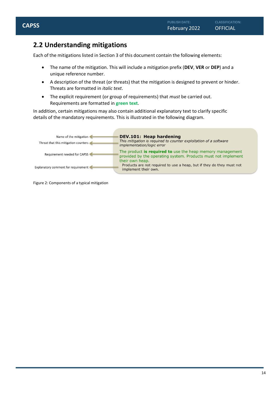## <span id="page-13-0"></span>**2.2 Understanding mitigations**

Each of the mitigations listed in Section 3 of this document contain the following elements:

- The name of the mitigation. This will include a mitigation prefix (**DEV**, **VER** or **DEP**) and a unique reference number.
- A description of the threat (or threats) that the mitigation is designed to prevent or hinder. Threats are formatted in *italic text*.
- The explicit requirement (or group of requirements) that *must* be carried out. Requirements are formatted in **green text**.

In addition, certain mitigations may also contain additional explanatory text to clarify specific details of the mandatory requirements. This is illustrated in the following diagram.

| Name of the mitigation<br>Threat that this mitigation counters | <b>DEV.101: Heap hardening</b><br>This mitigation is required to counter exploitation of a software<br>implementation/logic error                    |
|----------------------------------------------------------------|------------------------------------------------------------------------------------------------------------------------------------------------------|
| Requirement needed for CAPSS                                   | The product <b>is required to</b> use the heap memory management<br>provided by the operating system. Products must not implement<br>their own heap. |
| Explanatory comment for requirement                            | Products are not required to use a heap, but if they do they must not<br>implement their own.                                                        |

Figure 2: Components of a typical mitigation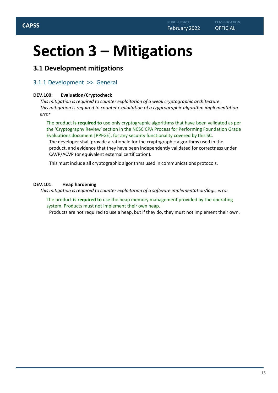## <span id="page-14-0"></span>**Section 3 – Mitigations**

## <span id="page-14-1"></span>**3.1 Development mitigations**

## <span id="page-14-2"></span>3.1.1 Development >> General

#### **DEV.100: Evaluation/Cryptocheck**

*This mitigation is required to counter exploitation of a weak cryptographic architecture. This mitigation is required to counter exploitation of a cryptographic algorithm implementation error*

The product **is required to** use only cryptographic algorithms that have been validated as per the 'Cryptography Review' section in the NCSC CPA Process for Performing Foundation Grade Evaluations document [PPFGE], for any security functionality covered by this SC.

The developer shall provide a rationale for the cryptographic algorithms used in the product, and evidence that they have been independently validated for correctness under CAVP/ACVP (or equivalent external certification).

This must include all cryptographic algorithms used in communications protocols.

#### **DEV.101: Heap hardening**

*This mitigation is required to counter exploitation of a software implementation/logic error*

The product **is required to** use the heap memory management provided by the operating system. Products must not implement their own heap.

Products are not required to use a heap, but if they do, they must not implement their own.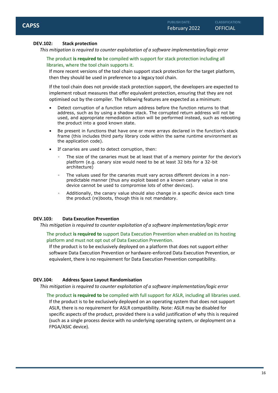#### **DEV.102: Stack protection**

*This mitigation is required to counter exploitation of a software implementation/logic error*

The product **is required to** be compiled with support for stack protection including all libraries, where the tool chain supports it.

If more recent versions of the tool chain support stack protection for the target platform, then they should be used in preference to a legacy tool chain.

If the tool chain does not provide stack protection support, the developers are expected to implement robust measures that offer equivalent protection, ensuring that they are not optimised out by the compiler. The following features are expected as a minimum:

- Detect corruption of a function return address before the function returns to that address, such as by using a shadow stack. The corrupted return address will not be used, and appropriate remediation action will be performed instead, such as rebooting the product into a good known state.
- Be present in functions that have one or more arrays declared in the function's stack frame (this includes third party library code within the same runtime environment as the application code).
- If canaries are used to detect corruption, then:
	- The size of the canaries must be at least that of a memory pointer for the device's platform (e.g. canary size would need to be at least 32 bits for a 32-bit architecture)
	- The values used for the canaries must vary across different devices in a nonpredictable manner (thus any exploit based on a known canary value in one device cannot be used to compromise lots of other devices).
	- Additionally, the canary value should also change in a specific device each time the product (re)boots, though this is not mandatory.

### **DEV.103: Data Execution Prevention**

*This mitigation is required to counter exploitation of a software implementation/logic error*

The product **is required to** support Data Execution Prevention when enabled on its hosting platform and must not opt out of Data Execution Prevention.

If the product is to be exclusively deployed on a platform that does not support either software Data Execution Prevention or hardware-enforced Data Execution Prevention, or equivalent, there is no requirement for Data Execution Prevention compatibility.

### **DEV.104: Address Space Layout Randomisation**

*This mitigation is required to counter exploitation of a software implementation/logic error*

The product **is required to** be compiled with full support for ASLR, including all libraries used. If the product is to be exclusively deployed on an operating system that does not support ASLR, there is no requirement for ASLR compatibility. Note: ASLR may be disabled for specific aspects of the product, provided there is a valid justification of why this is required (such as a single process device with no underlying operating system, or deployment on a FPGA/ASIC device).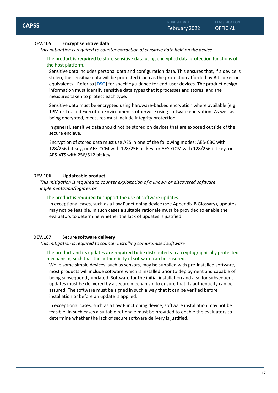#### **DEV.105: Encrypt sensitive data**

*This mitigation is required to counter extraction of sensitive data held on the device*

#### The product **is required to** store sensitive data using encrypted data protection functions of the host platform.

Sensitive data includes personal data and configuration data. This ensures that, if a device is stolen, the sensitive data will be protected (such as the protection afforded by BitLocker or equivalents). Refer to [DSG] for specific guidance for end-user devices. The product design information must identify sensitive data types that it processes and stores, and the measures taken to protect each type.

Sensitive data must be encrypted using hardware-backed encryption where available (e.g. TPM or Trusted Execution Environment), otherwise using software encryption. As well as being encrypted, measures must include integrity protection.

In general, sensitive data should not be stored on devices that are exposed outside of the secure enclave.

Encryption of stored data must use AES in one of the following modes: AES-CBC with 128/256 bit key, or AES-CCM with 128/256 bit key, or AES-GCM with 128/256 bit key, or AES-XTS with 256/512 bit key.

#### **DEV.106: Updateable product**

*This mitigation is required to counter exploitation of a known or discovered software implementation/logic error*

#### The product **is required to** support the use of software updates.

In exceptional cases, such as a Low Functioning device (see Appendix B Glossary), updates may not be feasible. In such cases a suitable rationale must be provided to enable the evaluators to determine whether the lack of updates is justified.

#### **DEV.107: Secure software delivery**

*This mitigation is required to counter installing compromised software*

#### The product and its updates **are required to** be distributed via a cryptographically protected mechanism, such that the authenticity of software can be ensured.

While some simple devices, such as sensors, may be supplied with pre-installed software, most products will include software which is installed prior to deployment and capable of being subsequently updated. Software for the initial installation and also for subsequent updates must be delivered by a secure mechanism to ensure that its authenticity can be assured. The software must be signed in such a way that it can be verified before installation or before an update is applied.

In exceptional cases, such as a Low Functioning device, software installation may not be feasible. In such cases a suitable rationale must be provided to enable the evaluators to determine whether the lack of secure software delivery is justified.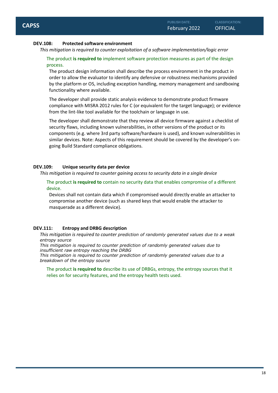#### **DEV.108: Protected software environment**

*This mitigation is required to counter exploitation of a software implementation/logic error*

#### The product **is required to** implement software protection measures as part of the design process.

The product design information shall describe the process environment in the product in order to allow the evaluator to identify any defensive or robustness mechanisms provided by the platform or OS, including exception handling, memory management and sandboxing functionality where available.

The developer shall provide static analysis evidence to demonstrate product firmware compliance with MISRA 2012 rules for C (or equivalent for the target language); or evidence from the lint-like tool available for the toolchain or language in use.

The developer shall demonstrate that they review all device firmware against a checklist of security flaws, including known vulnerabilities, in other versions of the product or its components (e.g. where 3rd party software/hardware is used), and known vulnerabilities in similar devices. Note: Aspects of this requirement should be covered by the developer's ongoing Build Standard compliance obligations.

#### **DEV.109: Unique security data per device**

*This mitigation is required to counter gaining access to security data in a single device*

The product **is required to** contain no security data that enables compromise of a different device.

Devices shall not contain data which if compromised would directly enable an attacker to compromise another device (such as shared keys that would enable the attacker to masquerade as a different device).

#### **DEV.111: Entropy and DRBG description**

*This mitigation is required to counter prediction of randomly generated values due to a weak entropy source*

*This mitigation is required to counter prediction of randomly generated values due to insufficient raw entropy reaching the DRBG*

*This mitigation is required to counter prediction of randomly generated values due to a breakdown of the entropy source*

The product **is required to** describe its use of DRBGs, entropy, the entropy sources that it relies on for security features, and the entropy health tests used.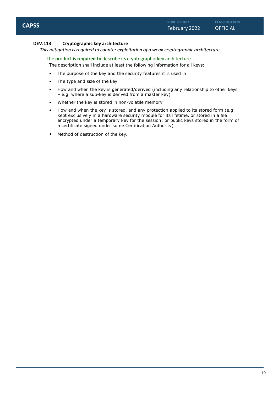#### **DEV.113: Cryptographic key architecture**

*This mitigation is required to counter exploitation of a weak cryptographic architecture.*

The product **is required to** describe its cryptographic key architecture.

The description shall include at least the following information for all keys:

- The purpose of the key and the security features it is used in
- The type and size of the key
- How and when the key is generated/derived (including any relationship to other keys – e.g. where a sub-key is derived from a master key)
- Whether the key is stored in non-volatile memory
- How and when the key is stored, and any protection applied to its stored form (e.g. kept exclusively in a hardware security module for its lifetime, or stored in a file encrypted under a temporary key for the session; or public keys stored in the form of a certificate signed under some Certification Authority)
- Method of destruction of the key.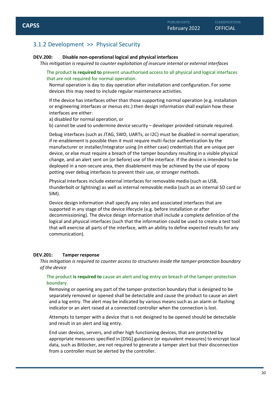## <span id="page-19-0"></span>3.1.2 Development >> Physical Security

#### **DEV.200: Disable non-operational logical and physical interfaces**

*This mitigation is required to counter exploitation of insecure internal or external interfaces*

The product **is required to** prevent unauthorised access to all physical and logical interfaces that are not required for normal operation.

Normal operation is day to day operation after installation and configuration. For some devices this may need to include regular maintenance activities.

If the device has interfaces other than those supporting normal operation (e.g. installation or engineering interfaces or menus etc.) then design information shall explain how these interfaces are either:

a) disabled for normal operation, or

b) cannot be used to undermine device security – developer provided rationale required.

Debug interfaces (such as JTAG, SWD, UARTs, or I2C) must be disabled in normal operation; if re-enablement is possible then it must require multi-factor authentication by the manufacturer or installer/integrator using (in either case) credentials that are unique per device, or else must require a breach of the tamper boundary resulting in a visible physical change, and an alert sent on (or before) use of the interface. If the device is intended to be deployed in a non-secure area, then disablement may be achieved by the use of epoxy potting over debug interfaces to prevent their use, or stronger methods.

Physical interfaces include external interfaces for removable media (such as USB, thunderbolt or lightning) as well as internal removable media (such as an internal SD card or SIM).

Device design information shall specify any roles and associated interfaces that are supported in any stage of the device lifecycle (e.g. before installation or after decommissioning). The device design information shall include a complete definition of the logical and physical interfaces (such that the information could be used to create a test tool that will exercise all parts of the interface, with an ability to define expected results for any communication).

#### **DEV.201: Tamper response**

*This mitigation is required to counter access to structures inside the tamper-protection boundary of the device*

#### The product **is required to** cause an alert and log entry on breach of the tamper-protection boundary.

Removing or opening any part of the tamper-protection boundary that is designed to be separately removed or opened shall be detectable and cause the product to cause an alert and a log entry. The alert may be indicated by various means such as an alarm or flashing indicator or an alert raised at a connected controller when the connection is lost.

Attempts to tamper with a device that is not designed to be opened should be detectable and result in an alert and log entry.

End user devices, servers, and other high functioning devices, that are protected by appropriate measures specified in [DSG] guidance (or equivalent measures) to encrypt local data, such as Bitlocker, are not required to generate a tamper alert but their disconnection from a controller must be alerted by the controller.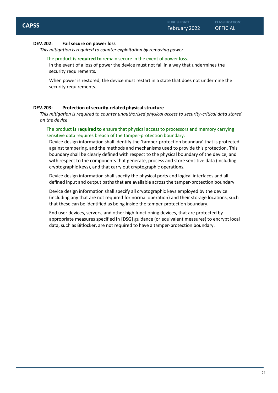#### **DEV.202: Fail secure on power loss**

*This mitigation is required to counter exploitation by removing power*

#### The product **is required to** remain secure in the event of power loss.

In the event of a loss of power the device must not fail in a way that undermines the security requirements.

When power is restored, the device must restart in a state that does not undermine the security requirements.

#### **DEV.203: Protection ofsecurity-related physical structure**

*This mitigation is required to counter unauthorised physical access to security-critical data stored on the device*

#### The product **is required to** ensure that physical access to processors and memory carrying sensitive data requires breach of the tamper-protection boundary.

Device design information shall identify the 'tamper-protection boundary' that is protected against tampering, and the methods and mechanisms used to provide this protection. This boundary shall be clearly defined with respect to the physical boundary of the device, and with respect to the components that generate, process and store sensitive data (including cryptographic keys), and that carry out cryptographic operations.

Device design information shall specify the physical ports and logical interfaces and all defined input and output paths that are available across the tamper-protection boundary.

Device design information shall specify all cryptographic keys employed by the device (including any that are not required for normal operation) and their storage locations, such that these can be identified as being inside the tamper-protection boundary.

End user devices, servers, and other high functioning devices, that are protected by appropriate measures specified in [DSG] guidance (or equivalent measures) to encrypt local data, such as Bitlocker, are not required to have a tamper-protection boundary.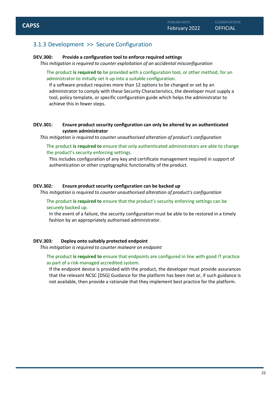### <span id="page-21-0"></span>3.1.3 Development >> Secure Configuration

#### **DEV.300: Provide a configuration tool to enforce required settings**

*This mitigation is required to counter exploitation of an accidental misconfiguration*

The product **is required to** be provided with a configuration tool, or other method, for an administrator to initially set it up into a suitable configuration.

If a software product requires more than 12 options to be changed or set by an administrator to comply with these Security Characteristics, the developer must supply a tool, policy template, or specific configuration guide which helps the administrator to achieve this in fewer steps.

#### **DEV.301: Ensure product security configuration can only be altered by an authenticated system administrator**

*This mitigation is required to counter unauthorised alteration of product's configuration*

The product **is required to** ensure that only authenticated administrators are able to change the product's security enforcing settings.

This includes configuration of any key and certificate management required in support of authentication or other cryptographic functionality of the product.

#### **DEV.302: Ensure product security configuration can be backed up**

*This mitigation is required to counter unauthorised alteration of product's configuration*

The product **is required to** ensure that the product's security enforcing settings can be securely backed up.

In the event of a failure, the security configuration must be able to be restored in a timely fashion by an appropriately authorised administrator.

#### **DEV.303: Deploy onto suitably protected endpoint**

*This mitigation is required to counter malware on endpoint*

#### The product **is required to** ensure that endpoints are configured in line with good IT practice as part of a risk-managed accredited system.

If the endpoint device is provided with the product, the developer must provide assurances that the relevant NCSC [DSG] Guidance for the platform has been met or, if such guidance is not available, then provide a rationale that they implement best practice for the platform.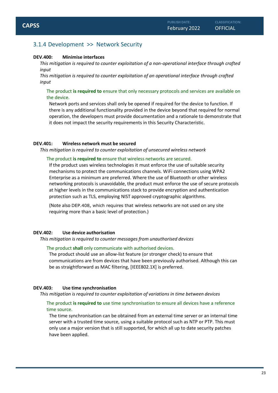### <span id="page-22-0"></span>3.1.4 Development >> Network Security

#### **DEV.400: Minimise interfaces**

*This mitigation is required to counter exploitation of a non-operational interface through crafted input*

*This mitigation is required to counter exploitation of an operational interface through crafted input*

The product **is required to** ensure that only necessary protocols and services are available on the device.

Network ports and services shall only be opened if required for the device to function. If there is any additional functionality provided in the device beyond that required for normal operation, the developers must provide documentation and a rationale to demonstrate that it does not impact the security requirements in this Security Characteristic.

#### **DEV.401: Wireless network must be secured**

*This mitigation is required to counter exploitation of unsecured wireless network*

#### The product **is required to** ensure that wireless networks are secured.

If the product uses wireless technologies it must enforce the use of suitable security mechanisms to protect the communications channels. WiFi connections using WPA2 Enterprise as a minimum are preferred. Where the use of Bluetooth or other wireless networking protocols is unavoidable, the product must enforce the use of secure protocols at higher levels in the communications stack to provide encryption and authentication protection such as TLS, employing NIST approved cryptographic algorithms.

(Note also DEP.408, which requires that wireless networks are not used on any site requiring more than a basic level of protection.)

#### **DEV.402: Use device authorisation**

#### *This mitigation is required to counter messages from unauthorised devices*

#### The product **shall** only communicate with authorised devices.

The product should use an allow-list feature (or stronger check) to ensure that communications are from devices that have been previously authorised. Although this can be as straightforward as MAC filtering, [IEEE802.1X] is preferred.

#### **DEV.403: Use time synchronisation**

*This mitigation is required to counter exploitation of variations in time between devices*

#### The product **is required to** use time synchronisation to ensure all devices have a reference time source.

The time synchronisation can be obtained from an external time server or an internal time server with a trusted time source, using a suitable protocol such as NTP or PTP. This must only use a major version that is still supported, for which all up to date security patches have been applied.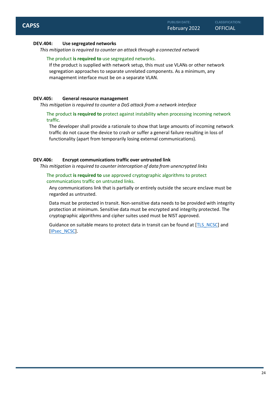#### **DEV.404: Use segregated networks**

*This mitigation is required to counter an attack through a connected network*

#### The product **is required to** use segregated networks.

If the product is supplied with network setup, this must use VLANs or other network segregation approaches to separate unrelated components. As a minimum, any management interface must be on a separate VLAN.

#### **DEV.405: General resource management**

*This mitigation is required to counter a DoS attack from a network interface*

The product **is required to** protect against instability when processing incoming network traffic.

The developer shall provide a rationale to show that large amounts of incoming network traffic do not cause the device to crash or suffer a general failure resulting in loss of functionality (apart from temporarily losing external communications).

#### **DEV.406: Encrypt communications traffic over untrusted link**

*This mitigation is required to counter interception of data from unencrypted links*

The product **is required to** use approved cryptographic algorithms to protect communications traffic on untrusted links.

Any communications link that is partially or entirely outside the secure enclave must be regarded as untrusted.

Data must be protected in transit. Non-sensitive data needs to be provided with integrity protection at minimum. Sensitive data must be encrypted and integrity protected. The cryptographic algorithms and cipher suites used must be NIST approved.

Guidance on suitable means to protect data in transit can be found at [TLS\_NCSC] and [IPsec\_NCSC].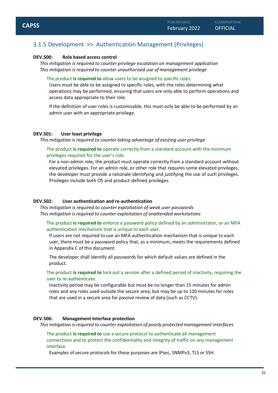## <span id="page-24-0"></span>3.1.5 Development >> Authentication Management (Privileges)

#### **DEV.500: Role based access control**

*This mitigation is required to counter privilege escalation on management application This mitigation is required to counter unauthorised use of management privilege*

#### The product **is required to** allow users to be assigned to specific roles.

Users must be able to be assigned to specific roles, with the roles determining what operations may be performed, ensuring that users are only able to perform operations and access data appropriate to their role.

If the definition of user roles is customisable, this must only be able to be performed by an admin user with an appropriate privilege.

#### **DEV.501: User least privilege**

*This mitigation is required to counter taking advantage of existing user privilege*

The product **is required to** operate correctly from a standard account with the minimum privileges required for the user's role.

For a non-admin role, the product must operate correctly from a standard account without elevated privileges. For an admin role, or other role that requires some elevated privileges, the developer must provide a rationale identifying and justifying the use of such privileges. Privileges include both OS and product-defined privileges.

#### **DEV.502: User authentication and re-authentication**

*This mitigation is required to counter exploitation of weak user passwords This mitigation is required to counter exploitation of unattended workstations*

The product **is required to** enforce a password policy defined by an administrator, or an MFA authentication mechanism that is unique to each user.

If users are not required to use an MFA authentication mechanism that is unique to each user, there must be a password policy that, as a minimum, meets the requirements defined in Appendix C of this document.

The developer shall identify all passwords for which default values are defined in the product.

The product **is required to** lock out a session after a defined period of inactivity, requiring the user to re-authenticate.

Inactivity period may be configurable but must be no longer than 15 minutes for admin roles and any roles used outside the secure area; but may be up to 120 minutes for roles that are used in a secure area for passive review of data (such as CCTV).

#### **DEV.506: Management interface protection**

*This mitigation is required to counter exploitation of poorly protected management interfaces*

The product **is required to** use a secure protocol to authenticate all management connections and to protect the confidentiality and integrity of traffic on any management interface.

Examples of secure protocols for these purposes are IPsec, SNMPv3, TLS or SSH.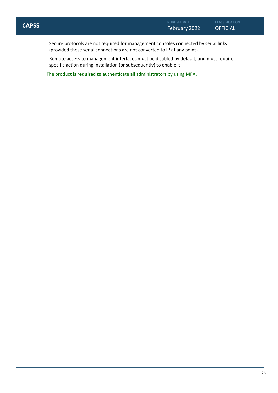**CLASSIFICATION:**

Secure protocols are not required for management consoles connected by serial links (provided those serial connections are not converted to IP at any point).

Remote access to management interfaces must be disabled by default, and must require specific action during installation (or subsequently) to enable it.

The product **is required to** authenticate all administrators by using MFA.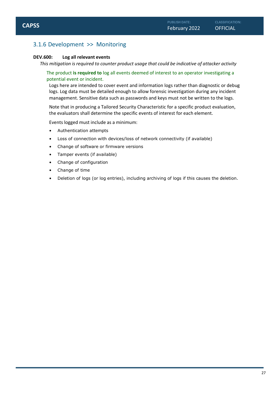## <span id="page-26-0"></span>3.1.6 Development >> Monitoring

#### **DEV.600: Log all relevant events**

*This mitigation is required to counter product usage that could be indicative of attacker activity*

#### The product **is required to** log all events deemed of interest to an operator investigating a potential event or incident.

Logs here are intended to cover event and information logs rather than diagnostic or debug logs. Log data must be detailed enough to allow forensic investigation during any incident management. Sensitive data such as passwords and keys must not be written to the logs.

Note that in producing a Tailored Security Characteristic for a specific product evaluation, the evaluators shall determine the specific events of interest for each element.

Events logged must include as a minimum:

- Authentication attempts
- Loss of connection with devices/loss of network connectivity (if available)
- Change of software or firmware versions
- Tamper events (if available)
- Change of configuration
- Change of time
- Deletion of logs (or log entries), including archiving of logs if this causes the deletion.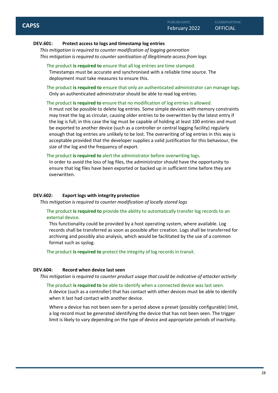#### **DEV.601: Protect access to logs and timestamp log entries**

*This mitigation is required to counter modification of logging generation This mitigation is required to counter sanitisation of illegitimate access from logs*

#### The product **is required to** ensure that all log entries are time stamped.

Timestamps must be accurate and synchronised with a reliable time source. The deployment must take measures to ensure this.

The product **is required to** ensure that only an authenticated administrator can manage logs. Only an authenticated administrator should be able to read log entries.

#### The product **is required to** ensure that no modification of log entries is allowed.

It must not be possible to delete log entries. Some simple devices with memory constraints may treat the log as circular, causing older entries to be overwritten by the latest entry if the log is full; in this case the log must be capable of holding at least 100 entries and must be exported to another device (such as a controller or central logging facility) regularly enough that log entries are unlikely to be lost. The overwriting of log entries in this way is acceptable provided that the developer supplies a valid justification for this behaviour, the size of the log and the frequency of export.

#### The product **is required to** alert the administrator before overwriting logs.

In order to avoid the loss of log files, the administrator should have the opportunity to ensure that log files have been exported or backed up in sufficient time before they are overwritten.

#### **DEV.602: Export logs with integrity protection**

*This mitigation is required to counter modification of locally stored logs*

#### The product **is required to** provide the ability to automatically transfer log records to an external device.

This functionality could be provided by a host operating system, where available. Log records shall be transferred as soon as possible after creation. Logs shall be transferred for archiving and possibly also analysis, which would be facilitated by the use of a common format such as syslog.

The product **is required to** protect the integrity of log records in transit.

#### **DEV.604: Record when device last seen**

*This mitigation is required to counter product usage that could be indicative of attacker activity*

The product **is required to** be able to identify when a connected device was last seen. A device (such as a controller) that has contact with other devices must be able to identify when it last had contact with another device.

Where a device has not been seen for a period above a preset (possibly configurable) limit, a log record must be generated identifying the device that has not been seen. The trigger limit is likely to vary depending on the type of device and appropriate periods of inactivity.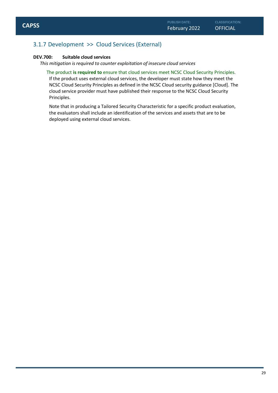## <span id="page-28-0"></span>3.1.7 Development >> Cloud Services (External)

#### **DEV.700: Suitable cloud services**

*This mitigation is required to counter exploitation of insecure cloud services*

The product **is required to** ensure that cloud services meet NCSC Cloud Security Principles. If the product uses external cloud services, the developer must state how they meet the NCSC Cloud Security Principles as defined in the NCSC Cloud security guidance [Cloud]. The cloud service provider must have published their response to the NCSC Cloud Security Principles.

Note that in producing a Tailored Security Characteristic for a specific product evaluation, the evaluators shall include an identification of the services and assets that are to be deployed using external cloud services.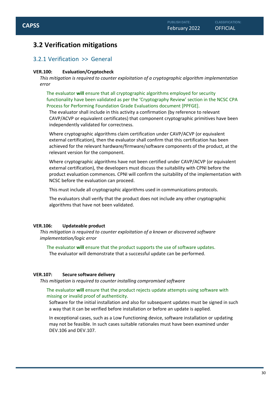## <span id="page-29-0"></span>**3.2 Verification mitigations**

### <span id="page-29-1"></span>3.2.1 Verification >> General

#### **VER.100: Evaluation/Cryptocheck**

*This mitigation is required to counter exploitation of a cryptographic algorithm implementation error*

The evaluator **will** ensure that all cryptographic algorithms employed for security functionality have been validated as per the 'Cryptography Review' section in the NCSC CPA Process for Performing Foundation Grade Evaluations document [PPFGE].

The evaluator shall include in this activity a confirmation (by reference to relevant CAVP/ACVP or equivalent certificates) that component cryptographic primitives have been independently validated for correctness.

Where cryptographic algorithms claim certification under CAVP/ACVP (or equivalent external certification), then the evaluator shall confirm that this certification has been achieved for the relevant hardware/firmware/software components of the product, at the relevant version for the component.

Where cryptographic algorithms have not been certified under CAVP/ACVP (or equivalent external certification), the developers must discuss the suitability with CPNI before the product evaluation commences. CPNI will confirm the suitability of the implementation with NCSC before the evaluation can proceed.

This must include all cryptographic algorithms used in communications protocols.

The evaluators shall verify that the product does not include any other cryptographic algorithms that have not been validated.

#### **VER.106: Updateable product**

*This mitigation is required to counter exploitation of a known or discovered software implementation/logic error*

The evaluator **will** ensure that the product supports the use of software updates. The evaluator will demonstrate that a successful update can be performed.

#### **VER.107: Secure software delivery**

*This mitigation is required to counter installing compromised software*

#### The evaluator **will** ensure that the product rejects update attempts using software with missing or invalid proof of authenticity.

Software for the initial installation and also for subsequent updates must be signed in such a way that it can be verified before installation or before an update is applied.

In exceptional cases, such as a Low Functioning device, software installation or updating may not be feasible. In such cases suitable rationales must have been examined under DEV.106 and DEV.107.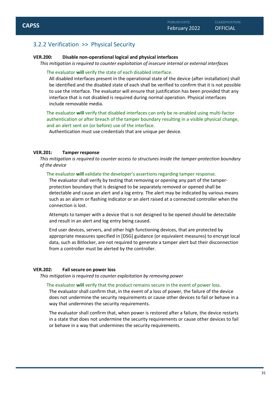## <span id="page-30-0"></span>3.2.2 Verification >> Physical Security

#### **VER.200: Disable non-operational logical and physical interfaces**

*This mitigation is required to counter exploitation of insecure internal or external interfaces*

#### The evaluator **will** verify the state of each disabled interface.

All disabled interfaces present in the operational state of the device (after installation) shall be identified and the disabled state of each shall be verified to confirm that it is not possible to use the interface. The evaluator will ensure that justification has been provided that any interface that is not disabled is required during normal operation. Physical interfaces include removable media.

The evaluator **will** verify that disabled interfaces can only be re-enabled using multi-factor authentication or after breach of the tamper boundary resulting in a visible physical change, and an alert sent on (or before) use of the interface.

Authentication must use credentials that are unique per device.

#### **VER.201: Tamper response**

*This mitigation is required to counter access to structures inside the tamper-protection boundary of the device*

#### The evaluator **will** validate the developer's assertions regarding tamper response.

The evaluator shall verify by testing that removing or opening any part of the tamperprotection boundary that is designed to be separately removed or opened shall be detectable and cause an alert and a log entry. The alert may be indicated by various means such as an alarm or flashing indicator or an alert raised at a connected controller when the connection is lost.

Attempts to tamper with a device that is not designed to be opened should be detectable and result in an alert and log entry being caused.

End user devices, servers, and other high functioning devices, that are protected by appropriate measures specified in [DSG] guidance (or equivalent measures) to encrypt local data, such as Bitlocker, are not required to generate a tamper alert but their disconnection from a controller must be alerted by the controller.

#### **VER.202: Fail secure on power loss**

*This mitigation is required to counter exploitation by removing power*

#### The evaluator **will** verify that the product remains secure in the event of power loss.

The evaluator shall confirm that, in the event of a loss of power, the failure of the device does not undermine the security requirements or cause other devices to fail or behave in a way that undermines the security requirements.

The evaluator shall confirm that, when power is restored after a failure, the device restarts in a state that does not undermine the security requirements or cause other devices to fail or behave in a way that undermines the security requirements.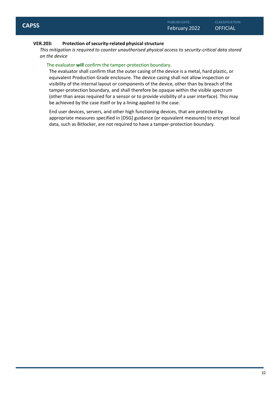#### **VER.203: Protection ofsecurity-related physical structure**

*This mitigation is required to counter unauthorised physical access to security-critical data stored on the device*

#### The evaluator **will** confirm the tamper-protection boundary.

The evaluator shall confirm that the outer casing of the device is a metal, hard plastic, or equivalent Production Grade enclosure. The device casing shall not allow inspection or visibility of the internal layout or components of the device, other than by breach of the tamper-protection boundary, and shall therefore be opaque within the visible spectrum (other than areas required for a sensor or to provide visibility of a user interface). This may be achieved by the case itself or by a lining applied to the case.

End user devices, servers, and other high functioning devices, that are protected by appropriate measures specified in [DSG] guidance (or equivalent measures) to encrypt local data, such as Bitlocker, are not required to have a tamper-protection boundary.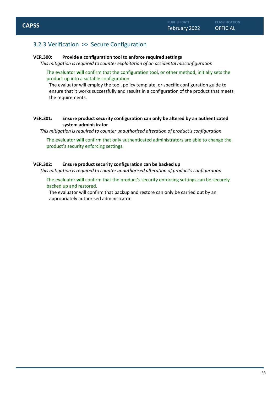### <span id="page-32-0"></span>3.2.3 Verification >> Secure Configuration

#### **VER.300: Provide a configuration tool to enforce required settings**

*This mitigation is required to counter exploitation of an accidental misconfiguration*

The evaluator **will** confirm that the configuration tool, or other method, initially sets the product up into a suitable configuration.

The evaluator will employ the tool, policy template, or specific configuration guide to ensure that it works successfully and results in a configuration of the product that meets the requirements.

#### **VER.301: Ensure product security configuration can only be altered by an authenticated system administrator**

*This mitigation is required to counter unauthorised alteration of product's configuration*

The evaluator **will** confirm that only authenticated administrators are able to change the product's security enforcing settings.

#### **VER.302: Ensure product security configuration can be backed up**

*This mitigation is required to counter unauthorised alteration of product's configuration*

The evaluator **will** confirm that the product's security enforcing settings can be securely backed up and restored.

The evaluator will confirm that backup and restore can only be carried out by an appropriately authorised administrator.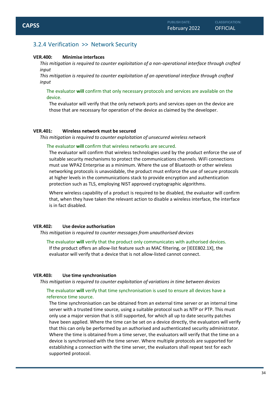## <span id="page-33-0"></span>3.2.4 Verification >> Network Security

#### **VER.400: Minimise interfaces**

*This mitigation is required to counter exploitation of a non-operational interface through crafted input*

*This mitigation is required to counter exploitation of an operational interface through crafted input*

The evaluator **will** confirm that only necessary protocols and services are available on the device.

The evaluator will verify that the only network ports and services open on the device are those that are necessary for operation of the device as claimed by the developer.

#### **VER.401: Wireless network must be secured**

*This mitigation is required to counter exploitation of unsecured wireless network*

#### The evaluator **will** confirm that wireless networks are secured.

The evaluator will confirm that wireless technologies used by the product enforce the use of suitable security mechanisms to protect the communications channels. WiFi connections must use WPA2 Enterprise as a minimum. Where the use of Bluetooth or other wireless networking protocols is unavoidable, the product must enforce the use of secure protocols at higher levels in the communications stack to provide encryption and authentication protection such as TLS, employing NIST approved cryptographic algorithms.

Where wireless capability of a product is required to be disabled, the evaluator will confirm that, when they have taken the relevant action to disable a wireless interface, the interface is in fact disabled.

#### **VER.402: Use device authorisation**

*This mitigation is required to counter messages from unauthorised devices*

The evaluator **will** verify that the product only communicates with authorised devices. If the product offers an allow-list feature such as MAC filtering, or [IEEE802.1X], the evaluator will verify that a device that is not allow-listed cannot connect.

#### **VER.403: Use time synchronisation**

*This mitigation is required to counter exploitation of variations in time between devices*

#### The evaluator **will** verify that time synchronisation is used to ensure all devices have a reference time source.

The time synchronisation can be obtained from an external time server or an internal time server with a trusted time source, using a suitable protocol such as NTP or PTP. This must only use a major version that is still supported, for which all up to date security patches have been applied. Where the time can be set on a device directly, the evaluators will verify that this can only be performed by an authorised and authenticated security administrator. Where the time is obtained from a time server, the evaluators will verify that the time on a device is synchronised with the time server. Where multiple protocols are supported for establishing a connection with the time server, the evaluators shall repeat test for each supported protocol.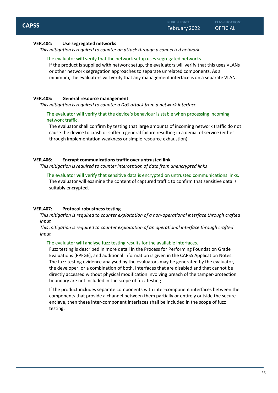#### **VER.404: Use segregated networks**

*This mitigation is required to counter an attack through a connected network*

#### The evaluator **will** verify that the network setup uses segregated networks.

If the product is supplied with network setup, the evaluators will verify that this uses VLANs or other network segregation approaches to separate unrelated components. As a minimum, the evaluators will verify that any management interface is on a separate VLAN.

#### **VER.405: General resource management**

*This mitigation is required to counter a DoS attack from a network interface*

The evaluator **will** verify that the device's behaviour is stable when processing incoming network traffic.

The evaluator shall confirm by testing that large amounts of incoming network traffic do not cause the device to crash or suffer a general failure resulting in a denial of service (either through implementation weakness or simple resource exhaustion).

#### **VER.406: Encrypt communications traffic over untrusted link**

*This mitigation is required to counter interception of data from unencrypted links*

The evaluator **will** verify that sensitive data is encrypted on untrusted communications links. The evaluator will examine the content of captured traffic to confirm that sensitive data is suitably encrypted.

#### **VER.407: Protocol robustness testing**

*This mitigation is required to counter exploitation of a non-operational interface through crafted input*

*This mitigation is required to counter exploitation of an operational interface through crafted input*

#### The evaluator will analyse fuzz testing results for the available interfaces.

Fuzz testing is described in more detail in the Process for Performing Foundation Grade Evaluations [PPFGE], and additional information is given in the CAPSS Application Notes. The fuzz testing evidence analysed by the evaluators may be generated by the evaluator, the developer, or a combination of both. Interfaces that are disabled and that cannot be directly accessed without physical modification involving breach of the tamper-protection boundary are not included in the scope of fuzz testing.

If the product includes separate components with inter-component interfaces between the components that provide a channel between them partially or entirely outside the secure enclave, then these inter-component interfaces shall be included in the scope of fuzz testing.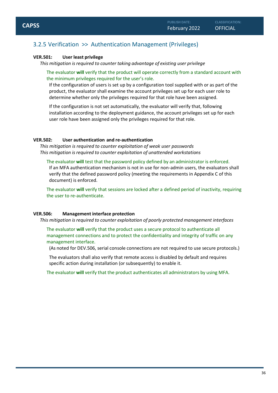#### <span id="page-35-0"></span>**VER.501: User least privilege**

*This mitigation is required to counter taking advantage of existing user privilege*

The evaluator **will** verify that the product will operate correctly from a standard account with the minimum privileges required for the user's role.

If the configuration of users is set up by a configuration tool supplied with or as part of the product, the evaluator shall examine the account privileges set up for each user role to determine whether only the privileges required for that role have been assigned.

If the configuration is not set automatically, the evaluator will verify that, following installation according to the deployment guidance, the account privileges set up for each user role have been assigned only the privileges required for that role.

#### **VER.502: User authentication and re-authentication**

*This mitigation is required to counter exploitation of weak user passwords This mitigation is required to counter exploitation of unattended workstations*

The evaluator **will** test that the password policy defined by an administrator is enforced. If an MFA authentication mechanism is not in use for non-admin users, the evaluators shall verify that the defined password policy (meeting the requirements in Appendix C of this document) is enforced.

The evaluator **will** verify that sessions are locked after a defined period of inactivity, requiring the user to re-authenticate.

#### **VER.506: Management interface protection**

*This mitigation is required to counter exploitation of poorly protected management interfaces*

The evaluator **will** verify that the product uses a secure protocol to authenticate all management connections and to protect the confidentiality and integrity of traffic on any management interface.

(As noted for DEV.506, serial console connections are not required to use secure protocols.)

The evaluators shall also verify that remote access is disabled by default and requires specific action during installation (or subsequently) to enable it.

The evaluator **will** verify that the product authenticates all administrators by using MFA.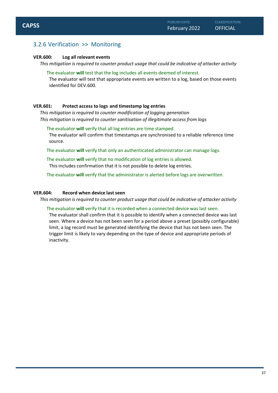## <span id="page-36-0"></span>3.2.6 Verification >> Monitoring

#### **VER.600: Log all relevant events**

*This mitigation is required to counter product usage that could be indicative of attacker activity*

The evaluator **will** test that the log includes all events deemed of interest.

The evaluator will test that appropriate events are written to a log, based on those events identified for DEV.600.

#### **VER.601: Protect access to logs and timestamp log entries**

*This mitigation is required to counter modification of logging generation This mitigation is required to counter sanitisation of illegitimate access from logs*

The evaluator **will** verify that all log entries are time stamped.

The evaluator will confirm that timestamps are synchronised to a reliable reference time source.

The evaluator **will** verify that only an authenticated administrator can manage logs.

The evaluator **will** verify that no modification of log entries is allowed. This includes confirmation that it is not possible to delete log entries.

The evaluator **will** verify that the administrator is alerted before logs are overwritten.

#### **VER.604: Record when device last seen**

*This mitigation is required to counter product usage that could be indicative of attacker activity*

#### The evaluator **will** verify that it is recorded when a connected device was last seen.

The evaluator shall confirm that it is possible to identify when a connected device was last seen. Where a device has not been seen for a period above a preset (possibly configurable) limit, a log record must be generated identifying the device that has not been seen. The trigger limit is likely to vary depending on the type of device and appropriate periods of inactivity.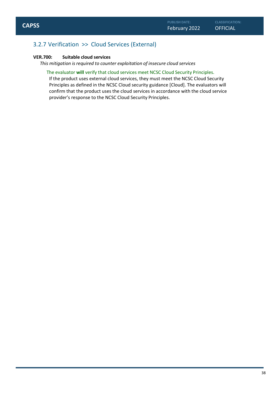## <span id="page-37-0"></span>3.2.7 Verification >> Cloud Services (External)

#### **VER.700: Suitable cloud services**

*This mitigation is required to counter exploitation of insecure cloud services*

The evaluator **will** verify that cloud services meet NCSC Cloud Security Principles. If the product uses external cloud services, they must meet the NCSC Cloud Security Principles as defined in the NCSC Cloud security guidance [Cloud]. The evaluators will confirm that the product uses the cloud services in accordance with the cloud service provider's response to the NCSC Cloud Security Principles.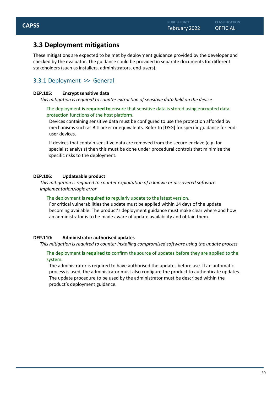## <span id="page-38-0"></span>**3.3 Deployment mitigations**

These mitigations are expected to be met by deployment guidance provided by the developer and checked by the evaluator. The guidance could be provided in separate documents for different stakeholders (such as installers, administrators, end-users).

## <span id="page-38-1"></span>3.3.1 Deployment >> General

#### **DEP.105: Encrypt sensitive data**

*This mitigation is required to counter extraction of sensitive data held on the device*

#### The deployment **is required to** ensure that sensitive data is stored using encrypted data protection functions of the host platform.

Devices containing sensitive data must be configured to use the protection afforded by mechanisms such as BitLocker or equivalents. Refer to [DSG] for specific guidance for enduser devices.

If devices that contain sensitive data are removed from the secure enclave (e.g. for specialist analysis) then this must be done under procedural controls that minimise the specific risks to the deployment.

#### **DEP.106: Updateable product**

*This mitigation is required to counter exploitation of a known or discovered software implementation/logic error*

#### The deployment **is required to** regularly update to the latest version.

For critical vulnerabilities the update must be applied within 14 days of the update becoming available. The product's deployment guidance must make clear where and how an administrator is to be made aware of update availability and obtain them.

#### **DEP.110: Administrator authorised updates**

#### *This mitigation is required to counter installing compromised software using the update process*

#### The deployment **is required to** confirm the source of updates before they are applied to the system.

The administrator is required to have authorised the updates before use. If an automatic process is used, the administrator must also configure the product to authenticate updates. The update procedure to be used by the administrator must be described within the product's deployment guidance.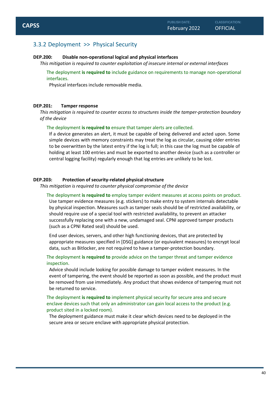### <span id="page-39-0"></span>3.3.2 Deployment >> Physical Security

#### **DEP.200: Disable non-operational logical and physical interfaces**

*This mitigation is required to counter exploitation of insecure internal or external interfaces*

The deployment **is required to** include guidance on requirements to manage non-operational interfaces.

Physical interfaces include removable media.

#### **DEP.201: Tamper response**

*This mitigation is required to counter access to structures inside the tamper-protection boundary of the device*

The deployment **is required to** ensure that tamper alerts are collected.

If a device generates an alert, it must be capable of being delivered and acted upon. Some simple devices with memory constraints may treat the log as circular, causing older entries to be overwritten by the latest entry if the log is full; in this case the log must be capable of holding at least 100 entries and must be exported to another device (such as a controller or central logging facility) regularly enough that log entries are unlikely to be lost.

#### **DEP.203:** Protection of security-related physical structure

*This mitigation is required to counter physical compromise of the device*

The deployment **is required to** employ tamper evident measures at access points on product. Use tamper evidence measures (e.g. stickers) to make entry to system internals detectable by physical inspection. Measures such as tamper seals should be of restricted availability, or should require use of a special tool with restricted availability, to prevent an attacker successfully replacing one with a new, undamaged seal. CPNI approved tamper products (such as a CPNI Rated seal) should be used.

End user devices, servers, and other high functioning devices, that are protected by appropriate measures specified in [DSG] guidance (or equivalent measures) to encrypt local data, such as Bitlocker, are not required to have a tamper-protection boundary.

The deployment **is required to** provide advice on the tamper threat and tamper evidence inspection.

Advice should include looking for possible damage to tamper evident measures. In the event of tampering, the event should be reported as soon as possible, and the product must be removed from use immediately. Any product that shows evidence of tampering must not be returned to service.

The deployment **is required to** implement physical security for secure area and secure enclave devices such that only an administrator can gain local access to the product (e.g. product sited in a locked room).

The deployment guidance must make it clear which devices need to be deployed in the secure area or secure enclave with appropriate physical protection.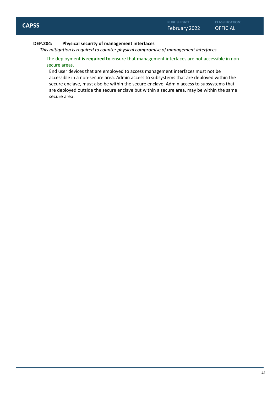#### **DEP.204: Physical security of management interfaces**

*This mitigation is required to counter physical compromise of management interfaces*

The deployment **is required to** ensure that management interfaces are not accessible in nonsecure areas.

End user devices that are employed to access management interfaces must not be accessible in a non-secure area. Admin access to subsystems that are deployed within the secure enclave, must also be within the secure enclave. Admin access to subsystems that are deployed outside the secure enclave but within a secure area, may be within the same secure area.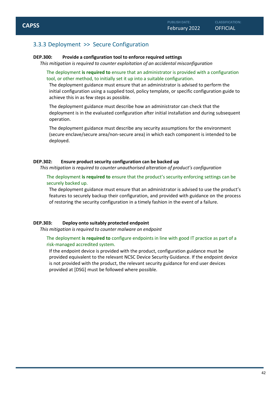## <span id="page-41-0"></span>3.3.3 Deployment >> Secure Configuration

#### **DEP.300: Provide a configuration tool to enforce required settings**

*This mitigation is required to counter exploitation of an accidental misconfiguration*

The deployment **is required to** ensure that an administrator is provided with a configuration tool, or other method, to initially set it up into a suitable configuration.

The deployment guidance must ensure that an administrator is advised to perform the initial configuration using a supplied tool, policy template, or specific configuration guide to achieve this in as few steps as possible.

The deployment guidance must describe how an administrator can check that the deployment is in the evaluated configuration after initial installation and during subsequent operation.

The deployment guidance must describe any security assumptions for the environment (secure enclave/secure area/non-secure area) in which each component is intended to be deployed.

#### **DEP.302: Ensure product security configuration can be backed up**

*This mitigation is required to counter unauthorised alteration of product's configuration*

The deployment **is required to** ensure that the product's security enforcing settings can be securely backed up.

The deployment guidance must ensure that an administrator is advised to use the product's features to securely backup their configuration, and provided with guidance on the process of restoring the security configuration in a timely fashion in the event of a failure.

#### **DEP.303: Deploy onto suitably protected endpoint**

*This mitigation is required to counter malware on endpoint*

The deployment **is required to** configure endpoints in line with good IT practice as part of a risk-managed accredited system.

If the endpoint device is provided with the product, configuration guidance must be provided equivalent to the relevant NCSC Device Security Guidance. If the endpoint device is not provided with the product, the relevant security guidance for end user devices provided at [DSG] must be followed where possible.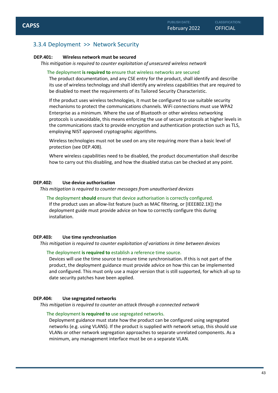## <span id="page-42-0"></span>3.3.4 Deployment >> Network Security

#### **DEP.401: Wireless network must be secured**

*This mitigation is required to counter exploitation of unsecured wireless network*

#### The deployment **is required to** ensure that wireless networks are secured

The product documentation, and any CSE entry for the product, shall identify and describe its use of wireless technology and shall identify any wireless capabilities that are required to be disabled to meet the requirements of its Tailored Security Characteristic.

If the product uses wireless technologies, it must be configured to use suitable security mechanisms to protect the communications channels. WiFi connections must use WPA2 Enterprise as a minimum. Where the use of Bluetooth or other wireless networking protocols is unavoidable, this means enforcing the use of secure protocols at higher levels in the communications stack to provide encryption and authentication protection such as TLS, employing NIST approved cryptographic algorithms.

Wireless technologies must not be used on any site requiring more than a basic level of protection (see DEP.408).

Where wireless capabilities need to be disabled, the product documentation shall describe how to carry out this disabling, and how the disabled status can be checked at any point.

#### **DEP.402: Use device authorisation**

*This mitigation is required to counter messages from unauthorised devices*

#### The deployment **should** ensure that device authorisation is correctly configured.

If the product uses an allow-list feature (such as MAC filtering, or [IEEE802.1X]) the deployment guide must provide advice on how to correctly configure this during installation.

#### **DEP.403: Use time synchronisation**

*This mitigation is required to counter exploitation of variations in time between devices*

#### The deployment **is required to** establish a reference time source.

Devices will use the time source to ensure time synchronisation. If this is not part of the product, the deployment guidance must provide advice on how this can be implemented and configured. This must only use a major version that is still supported, for which all up to date security patches have been applied.

#### **DEP.404: Use segregated networks**

*This mitigation is required to counter an attack through a connected network*

#### The deployment **is required to** use segregated networks.

Deployment guidance must state how the product can be configured using segregated networks (e.g. using VLANS). If the product is supplied with network setup, this should use VLANs or other network segregation approaches to separate unrelated components. As a minimum, any management interface must be on a separate VLAN.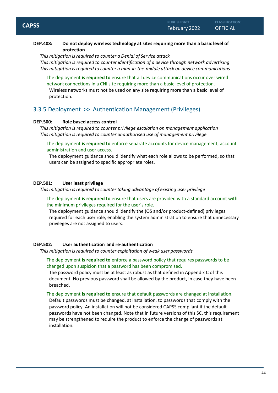#### **DEP.408: Do not deploy wireless technology at sites requiring more than a basic level of protection**

*This mitigation is required to counter a Denial of Service attack This mitigation is required to counter identification of a device through network advertising This mitigation is required to counter a man-in-the-middle attack on device communications*

The deployment **is required to** ensure that all device communications occur over wired network connections in a CNI site requiring more than a basic level of protection. Wireless networks must not be used on any site requiring more than a basic level of protection.

### <span id="page-43-0"></span>3.3.5 Deployment >> Authentication Management (Privileges)

#### **DEP.500: Role based access control**

*This mitigation is required to counter privilege escalation on management application This mitigation is required to counter unauthorised use of management privilege*

The deployment **is required to** enforce separate accounts for device management, account administration and user access.

The deployment guidance should identify what each role allows to be performed, so that users can be assigned to specific appropriate roles.

#### **DEP.501: User least privilege**

*This mitigation is required to counter taking advantage of existing user privilege*

The deployment **is required to** ensure that users are provided with a standard account with the minimum privileges required for the user's role.

The deployment guidance should identify the (OS and/or product-defined) privileges required for each user role, enabling the system administration to ensure that unnecessary privileges are not assigned to users.

#### **DEP.502: User authentication and re-authentication**

*This mitigation is required to counter exploitation of weak user passwords*

The deployment **is required to** enforce a password policy that requires passwords to be changed upon suspicion that a password has been compromised.

The password policy must be at least as robust as that defined in Appendix C of this document. No previous password shall be allowed by the product, in case they have been breached.

The deployment **is required to** ensure that default passwords are changed at installation.

Default passwords must be changed, at installation, to passwords that comply with the password policy. An installation will not be considered CAPSS compliant if the default passwords have not been changed. Note that in future versions of this SC, this requirement may be strengthened to require the product to enforce the change of passwords at installation.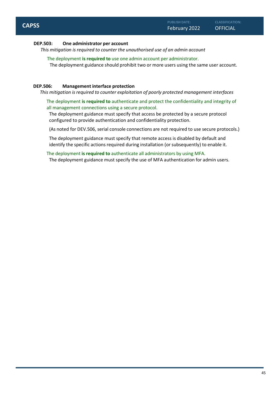#### **DEP.503: One administrator per account**

*This mitigation is required to counter the unauthorised use of an admin account*

The deployment **is required to** use one admin account per administrator.

The deployment guidance should prohibit two or more users using the same user account.

#### **DEP.506: Management interface protection**

*This mitigation is required to counter exploitation of poorly protected management interfaces*

The deployment **is required to** authenticate and protect the confidentiality and integrity of all management connections using a secure protocol.

The deployment guidance must specify that access be protected by a secure protocol configured to provide authentication and confidentiality protection.

(As noted for DEV.506, serial console connections are not required to use secure protocols.)

The deployment guidance must specify that remote access is disabled by default and identify the specific actions required during installation (or subsequently) to enable it.

The deployment **is required to** authenticate all administrators by using MFA. The deployment guidance must specify the use of MFA authentication for admin users.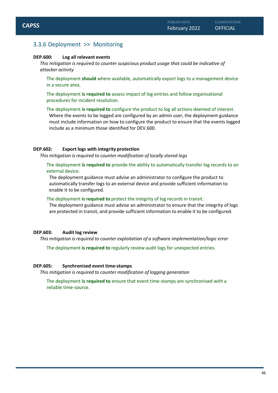## <span id="page-45-0"></span>3.3.6 Deployment >> Monitoring

#### **DEP.600: Log all relevant events**

*This mitigation is required to counter suspicious product usage that could be indicative of attacker activity*

The deployment **should** where available, automatically export logs to a management device in a secure area.

The deployment **is required to** assess impact of log entries and follow organisational procedures for incident resolution.

The deployment **is required to** configure the product to log all actions deemed of interest. Where the events to be logged are configured by an admin user, the deployment guidance must include information on how to configure the product to ensure that the events logged include as a minimum those identified for DEV.600.

#### **DEP.602: Export logs with integrity protection**

*This mitigation is required to counter modification of locally stored logs*

The deployment **is required to** provide the ability to automatically transfer log records to an external device.

The deployment guidance must advise an administrator to configure the product to automatically transfer logs to an external device and provide sufficient information to enable it to be configured.

#### The deployment **is required to** protect the integrity of log records in transit.

The deployment guidance must advise an administrator to ensure that the integrity of logs are protected in transit, and provide sufficient information to enable it to be configured.

#### **DEP.603: Audit log review**

*This mitigation is required to counter exploitation of a software implementation/logic error*

The deployment **is required to** regularly review audit logs for unexpected entries.

#### **DEP.605: Synchronised event time-stamps**

*This mitigation is required to counter modification of logging generation*

The deployment **is required to** ensure that event time-stamps are synchronised with a reliable time-source.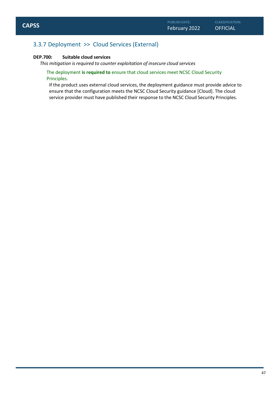## <span id="page-46-0"></span>3.3.7 Deployment >> Cloud Services (External)

#### **DEP.700: Suitable cloud services**

*This mitigation is required to counter exploitation of insecure cloud services*

#### The deployment **is required to** ensure that cloud services meet NCSC Cloud Security Principles.

If the product uses external cloud services, the deployment guidance must provide advice to ensure that the configuration meets the NCSC Cloud Security guidance [Cloud]. The cloud service provider must have published their response to the NCSC Cloud Security Principles.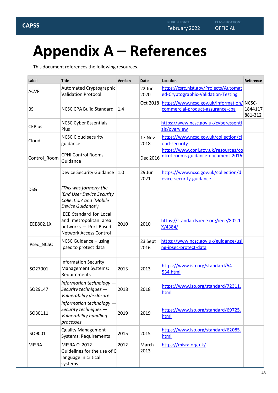**CLASSIFICATION:**

## <span id="page-47-0"></span>**Appendix A – References**

This document references the following resources.

| Label             | <b>Title</b>                                                                                                      | Version | Date            | Location                                                                       | Reference          |
|-------------------|-------------------------------------------------------------------------------------------------------------------|---------|-----------------|--------------------------------------------------------------------------------|--------------------|
| <b>ACVP</b>       | Automated Cryptographic<br><b>Validation Protocol</b>                                                             |         | 22 Jun<br>2020  | https://csrc.nist.gov/Projects/Automat<br>ed-Cryptographic-Validation-Testing  |                    |
| <b>BS</b>         | <b>NCSC CPA Build Standard</b>                                                                                    | 1.4     | Oct 2018        | https://www.ncsc.gov.uk/information/ NCSC-<br>commercial-product-assurance-cpa | 1844117<br>881-312 |
| <b>CEPlus</b>     | <b>NCSC Cyber Essentials</b><br>Plus                                                                              |         |                 | https://www.ncsc.gov.uk/cyberessenti<br>als/overview                           |                    |
| Cloud             | <b>NCSC Cloud security</b><br>guidance                                                                            |         | 17 Nov<br>2018  | https://www.ncsc.gov.uk/collection/cl<br>oud-security                          |                    |
| Control_Room      | <b>CPNI Control Rooms</b><br>Guidance                                                                             |         | Dec 2016        | https://www.cpni.gov.uk/resources/co<br>ntrol-rooms-guidance-document-2016     |                    |
|                   | <b>Device Security Guidance</b>                                                                                   | 1.0     | 29 Jun<br>2021  | https://www.ncsc.gov.uk/collection/d<br>evice-security-guidance                |                    |
| <b>DSG</b>        | (This was formerly the<br>'End User Device Security<br>Collection' and 'Mobile<br>Device Guidance')               |         |                 |                                                                                |                    |
| <b>IEEE802.1X</b> | <b>IEEE Standard for Local</b><br>and metropolitan area<br>networks - Port-Based<br><b>Network Access Control</b> | 2010    | 2010            | https://standards.ieee.org/ieee/802.1<br>X/4384/                               |                    |
| IPsec_NCSC        | NCSC Guidance - using<br>Ipsec to protect data                                                                    |         | 23 Sept<br>2016 | https://www.ncsc.gov.uk/guidance/usi<br>ng-ipsec-protect-data                  |                    |
| ISO27001          | <b>Information Security</b><br><b>Management Systems:</b><br>Requirements                                         | 2013    | 2013            | https://www.iso.org/standard/54<br>534.html                                    |                    |
| ISO29147          | Information technology -<br>Security techniques -<br>Vulnerability disclosure                                     | 2018    | 2018            | https://www.iso.org/standard/72311.<br>html                                    |                    |
| ISO30111          | Information technology -<br>Security techniques -<br><b>Vulnerability handling</b><br>processes                   | 2019    | 2019            | https://www.iso.org/standard/69725.<br>html                                    |                    |
| ISO9001           | <b>Quality Management</b><br><b>Systems: Requirements</b>                                                         | 2015    | 2015            | https://www.iso.org/standard/62085.<br>html                                    |                    |
| <b>MISRA</b>      | MISRA C: 2012-<br>Guidelines for the use of C<br>language in critical<br>systems                                  | 2012    | March<br>2013   | https://misra.org.uk/                                                          |                    |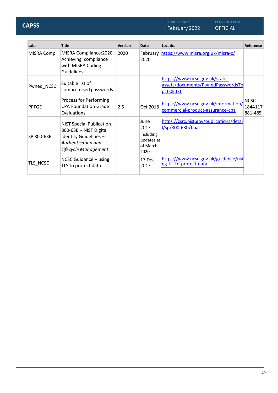February 2022 OFFICIAL **CAPSS**

**CLASSIFICATION:**

| Label             | <b>Title</b>                                                                                                                     | <b>Version</b> | Date                                                        | Location                                                                          | Reference                   |
|-------------------|----------------------------------------------------------------------------------------------------------------------------------|----------------|-------------------------------------------------------------|-----------------------------------------------------------------------------------|-----------------------------|
| <b>MISRA Comp</b> | MISRA Compliance: 2020 - 2020<br>Achieving compliance<br>with MISRA Coding<br>Guidelines                                         |                | 2020                                                        | February https://www.misra.org.uk/misra-c/                                        |                             |
| Pwned_NCSC        | Suitable list of<br>compromised passwords                                                                                        |                |                                                             | https://www.ncsc.gov.uk/static-<br>assets/documents/PwnedPasswordsTo<br>p100k.txt |                             |
| <b>PPFGE</b>      | Process for Performing<br><b>CPA Foundation Grade</b><br>Evaluations                                                             | 2.5            | Oct 2018                                                    | https://www.ncsc.gov.uk/information/<br>commercial-product-assurance-cpa          | NCSC-<br>1844117<br>881-485 |
| SP 800-63B        | <b>NIST Special Publication</b><br>800-63B - NIST Digital<br>Identity Guidelines -<br>Authentication and<br>Lifecycle Management |                | June<br>2017<br>Including<br>updates as<br>of March<br>2020 | https://csrc.nist.gov/publications/detai<br>l/sp/800-63b/final                    |                             |
| TLS NCSC          | NCSC Guidance - using<br>TLS to protect data                                                                                     |                | 17 Dec<br>2017                                              | https://www.ncsc.gov.uk/guidance/usi<br>ng-tls-to-protect-data                    |                             |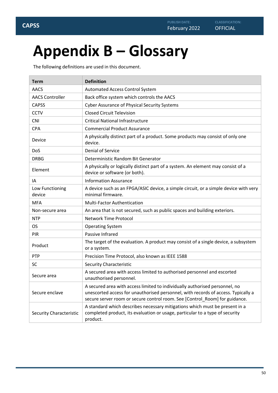## <span id="page-49-0"></span>**Appendix B – Glossary**

The following definitions are used in this document.

| <b>Term</b>                                                          | <b>Definition</b>                                                                                                                                                                                                                               |  |  |  |
|----------------------------------------------------------------------|-------------------------------------------------------------------------------------------------------------------------------------------------------------------------------------------------------------------------------------------------|--|--|--|
| AACS                                                                 | Automated Access Control System                                                                                                                                                                                                                 |  |  |  |
| <b>AACS Controller</b><br>Back office system which controls the AACS |                                                                                                                                                                                                                                                 |  |  |  |
| <b>CAPSS</b>                                                         | <b>Cyber Assurance of Physical Security Systems</b>                                                                                                                                                                                             |  |  |  |
| <b>CCTV</b>                                                          | <b>Closed Circuit Television</b>                                                                                                                                                                                                                |  |  |  |
| <b>CNI</b>                                                           | <b>Critical National Infrastructure</b>                                                                                                                                                                                                         |  |  |  |
| <b>CPA</b>                                                           | <b>Commercial Product Assurance</b>                                                                                                                                                                                                             |  |  |  |
| Device                                                               | A physically distinct part of a product. Some products may consist of only one<br>device.                                                                                                                                                       |  |  |  |
| DoS                                                                  | <b>Denial of Service</b>                                                                                                                                                                                                                        |  |  |  |
| <b>DRBG</b>                                                          | Deterministic Random Bit Generator                                                                                                                                                                                                              |  |  |  |
| Element                                                              | A physically or logically distinct part of a system. An element may consist of a<br>device or software (or both).                                                                                                                               |  |  |  |
| IA                                                                   | <b>Information Assurance</b>                                                                                                                                                                                                                    |  |  |  |
| Low Functioning<br>device                                            | A device such as an FPGA/ASIC device, a simple circuit, or a simple device with very<br>minimal firmware.                                                                                                                                       |  |  |  |
| <b>MFA</b>                                                           | <b>Multi-Factor Authentication</b>                                                                                                                                                                                                              |  |  |  |
| Non-secure area                                                      | An area that is not secured, such as public spaces and building exteriors.                                                                                                                                                                      |  |  |  |
| <b>NTP</b><br><b>Network Time Protocol</b>                           |                                                                                                                                                                                                                                                 |  |  |  |
| <b>OS</b>                                                            | <b>Operating System</b>                                                                                                                                                                                                                         |  |  |  |
| PIR                                                                  | Passive Infrared                                                                                                                                                                                                                                |  |  |  |
| Product                                                              | The target of the evaluation. A product may consist of a single device, a subsystem<br>or a system.                                                                                                                                             |  |  |  |
| PTP                                                                  | Precision Time Protocol, also known as IEEE 1588                                                                                                                                                                                                |  |  |  |
| <b>SC</b>                                                            | <b>Security Characteristic</b>                                                                                                                                                                                                                  |  |  |  |
| Secure area                                                          | A secured area with access limited to authorised personnel and escorted<br>unauthorised personnel.                                                                                                                                              |  |  |  |
| Secure enclave                                                       | A secured area with access limited to individually authorised personnel, no<br>unescorted access for unauthorised personnel, with records of access. Typically a<br>secure server room or secure control room. See [Control_Room] for guidance. |  |  |  |
| <b>Security Characteristic</b>                                       | A standard which describes necessary mitigations which must be present in a<br>completed product, its evaluation or usage, particular to a type of security<br>product.                                                                         |  |  |  |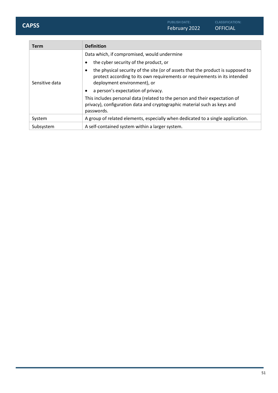| <b>Term</b>    | <b>Definition</b>                                                                                                                                                                                        |  |
|----------------|----------------------------------------------------------------------------------------------------------------------------------------------------------------------------------------------------------|--|
|                | Data which, if compromised, would undermine                                                                                                                                                              |  |
|                | the cyber security of the product, or<br>$\bullet$                                                                                                                                                       |  |
| Sensitive data | the physical security of the site (or of assets that the product is supposed to<br>$\bullet$<br>protect according to its own requirements or requirements in its intended<br>deployment environment), or |  |
|                | a person's expectation of privacy.<br>$\bullet$                                                                                                                                                          |  |
|                | This includes personal data (related to the person and their expectation of<br>privacy), configuration data and cryptographic material such as keys and<br>passwords.                                    |  |
| System         | A group of related elements, especially when dedicated to a single application.                                                                                                                          |  |
| Subsystem      | A self-contained system within a larger system.                                                                                                                                                          |  |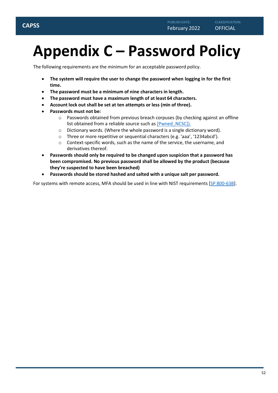## <span id="page-51-0"></span>**Appendix C – Password Policy**

The following requirements are the minimum for an acceptable password policy.

- **The system will require the user to change the password when logging in for the first time.**
- **The password must be a minimum of nine characters in length.**
- **The password must have a maximum length of at least 64 characters.**
- **Account lock out shall be set at ten attempts or less (min of three).**
- **Passwords must not be:**
	- $\circ$  Passwords obtained from previous breach corpuses (by checking against an offline list obtained from a reliable source such as [Pwned\_NCSC]).
	- o Dictionary words. (Where the whole password is a single dictionary word).
	- o Three or more repetitive or sequential characters (e.g. 'aaa', '1234abcd').
	- o Context-specific words, such as the name of the service, the username, and derivatives thereof.
- **Passwords should only be required to be changed upon suspicion that a password has been compromised. No previous password shall be allowed by the product (because they're suspected to have been breached)**
- **Passwords should be stored hashed and salted with a unique salt per password.**

For systems with remote access, MFA should be used in line with NIST requirements [SP 800-63B].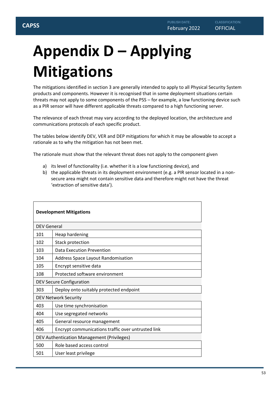## <span id="page-52-0"></span>**Appendix D – Applying Mitigations**

The mitigations identified in section 3 are generally intended to apply to all Physical Security System products and components. However it is recognised that in some deployment situations certain threats may not apply to some components of the PSS – for example, a low functioning device such as a PIR sensor will have different applicable threats compared to a high functioning server.

The relevance of each threat may vary according to the deployed location, the architecture and communications protocols of each specific product.

The tables below identify DEV, VER and DEP mitigations for which it may be allowable to accept a rationale as to why the mitigation has not been met.

The rationale must show that the relevant threat does not apply to the component given

- a) its level of functionality (i.e. whether it is a low functioning device), and
- b) the applicable threats in its deployment environment (e.g. a PIR sensor located in a nonsecure area might not contain sensitive data and therefore might not have the threat 'extraction of sensitive data').

| <b>Development Mitigations</b>             |                                                    |  |  |
|--------------------------------------------|----------------------------------------------------|--|--|
| <b>DEV General</b>                         |                                                    |  |  |
| 101                                        | Heap hardening                                     |  |  |
| 102                                        | <b>Stack protection</b>                            |  |  |
| 103                                        | Data Execution Prevention                          |  |  |
| 104                                        | <b>Address Space Layout Randomisation</b>          |  |  |
| 105                                        | Encrypt sensitive data                             |  |  |
| 108                                        | Protected software environment                     |  |  |
| <b>DEV Secure Configuration</b>            |                                                    |  |  |
| 303                                        | Deploy onto suitably protected endpoint            |  |  |
|                                            | <b>DEV Network Security</b>                        |  |  |
| 403                                        | Use time synchronisation                           |  |  |
| 404                                        | Use segregated networks                            |  |  |
| 405                                        | General resource management                        |  |  |
| 406                                        | Encrypt communications traffic over untrusted link |  |  |
| DEV Authentication Management (Privileges) |                                                    |  |  |
| 500                                        | Role based access control                          |  |  |
| 501                                        | User least privilege                               |  |  |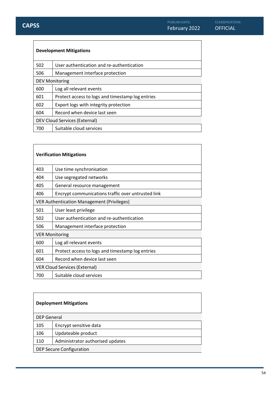| <b>Development Mitigations</b> |                                                  |  |  |
|--------------------------------|--------------------------------------------------|--|--|
| 502                            | User authentication and re-authentication        |  |  |
| 506                            | Management interface protection                  |  |  |
| <b>DEV Monitoring</b>          |                                                  |  |  |
| 600                            | Log all relevant events                          |  |  |
| 601                            | Protect access to logs and timestamp log entries |  |  |
| 602                            | Export logs with integrity protection            |  |  |
| 604                            | Record when device last seen                     |  |  |
| DEV Cloud Services (External)  |                                                  |  |  |
| 700                            | Suitable cloud services                          |  |  |

| <b>Verification Mitigations</b>                   |                                                    |  |  |
|---------------------------------------------------|----------------------------------------------------|--|--|
| 403                                               | Use time synchronisation                           |  |  |
| 404                                               | Use segregated networks                            |  |  |
| 405                                               | General resource management                        |  |  |
| 406                                               | Encrypt communications traffic over untrusted link |  |  |
| <b>VER Authentication Management (Privileges)</b> |                                                    |  |  |
| 501                                               | User least privilege                               |  |  |
| 502                                               | User authentication and re-authentication          |  |  |
| 506                                               | Management interface protection                    |  |  |
|                                                   | <b>VER Monitoring</b>                              |  |  |
| 600                                               | Log all relevant events                            |  |  |
| 601                                               | Protect access to logs and timestamp log entries   |  |  |
| 604                                               | Record when device last seen                       |  |  |
| <b>VER Cloud Services (External)</b>              |                                                    |  |  |
| 700                                               | Suitable cloud services                            |  |  |

| <b>Deployment Mitigations</b> |  |
|-------------------------------|--|
|-------------------------------|--|

| <b>DEP General</b>              |                                  |
|---------------------------------|----------------------------------|
| 105                             | Encrypt sensitive data           |
| 106                             | Updateable product               |
| 110                             | Administrator authorised updates |
| <b>DEP Secure Configuration</b> |                                  |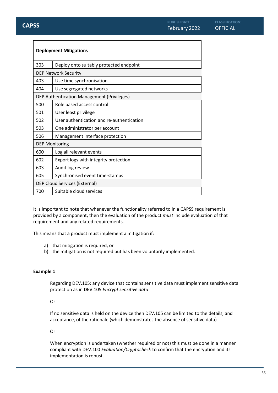$\Gamma$ 

٦

| <b>Deployment Mitigations</b>                     |                                           |
|---------------------------------------------------|-------------------------------------------|
| 303                                               | Deploy onto suitably protected endpoint   |
| <b>DEP Network Security</b>                       |                                           |
| 403                                               | Use time synchronisation                  |
| 404                                               | Use segregated networks                   |
| <b>DEP Authentication Management (Privileges)</b> |                                           |
| 500                                               | Role based access control                 |
| 501                                               | User least privilege                      |
| 502                                               | User authentication and re-authentication |
| 503                                               | One administrator per account             |
| 506                                               | Management interface protection           |
| <b>DEP Monitoring</b>                             |                                           |
| 600                                               | Log all relevant events                   |
| 602                                               | Export logs with integrity protection     |
| 603                                               | Audit log review                          |
| 605                                               | Synchronised event time-stamps            |
| <b>DEP Cloud Services (External)</b>              |                                           |
| 700                                               | Suitable cloud services                   |

It is important to note that whenever the functionality referred to in a CAPSS requirement is provided by a component, then the evaluation of the product *must* include evaluation of that requirement and any related requirements.

This means that a product must implement a mitigation if:

- a) that mitigation is required, or
- b) the mitigation is not required but has been voluntarily implemented.

#### **Example 1**

Regarding DEV.105: any device that contains sensitive data must implement sensitive data protection as in DEV.105 *Encrypt sensitive data*

Or

If no sensitive data is held on the device then DEV.105 can be limited to the details, and acceptance, of the rationale (which demonstrates the absence of sensitive data)

Or

When encryption is undertaken (whether required or not) this must be done in a manner compliant with DEV.100 *Evaluation/Cryptocheck* to confirm that the encryption and its implementation is robust.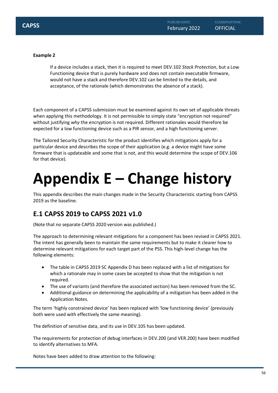**CLASSIFICATION:**

If a device includes a stack, then it is required to meet DEV.102 *Stack Protection*, but a Low Functioning device that is purely hardware and does not contain executable firmware, would not have a stack and therefore DEV.102 can be limited to the details, and acceptance, of the rationale (which demonstrates the absence of a stack).

Each component of a CAPSS submission must be examined against its own set of applicable threats when applying this methodology. It is not permissible to simply state "encryption not required" without justifying *why* the encryption is not required. Different rationales would therefore be expected for a low functioning device such as a PIR sensor, and a high functioning server.

The Tailored Security Characteristic for the product identifies which mitigations apply for a particular device and describes the scope of their application (e.g. a device might have some firmware that is updateable and some that is not, and this would determine the scope of DEV.106 for that device).

## <span id="page-55-0"></span>**Appendix E – Change history**

This appendix describes the main changes made in the Security Characteristic starting from CAPSS 2019 as the baseline.

## <span id="page-55-1"></span>**E.1 CAPSS 2019 to CAPSS 2021 v1.0**

(Note that no separate CAPSS 2020 version was published.)

The approach to determining relevant mitigations for a component has been revised in CAPSS 2021. The intent has generally been to maintain the same requirements but to make it clearer how to determine relevant mitigations for each target part of the PSS. This high-level change has the following elements:

- The table in CAPSS 2019 SC Appendix D has been replaced with a list of mitigations for which a rationale may in some cases be accepted to show that the mitigation is not required.
- The use of variants (and therefore the associated section) has been removed from the SC.
- Additional guidance on determining the applicability of a mitigation has been added in the Application Notes.

The term 'highly constrained device' has been replaced with 'low functioning device' (previously both were used with effectively the same meaning).

The definition of sensitive data, and its use in DEV.105 has been updated.

The requirements for protection of debug interfaces in DEV.200 (and VER.200) have been modified to identify alternatives to MFA.

Notes have been added to draw attention to the following: